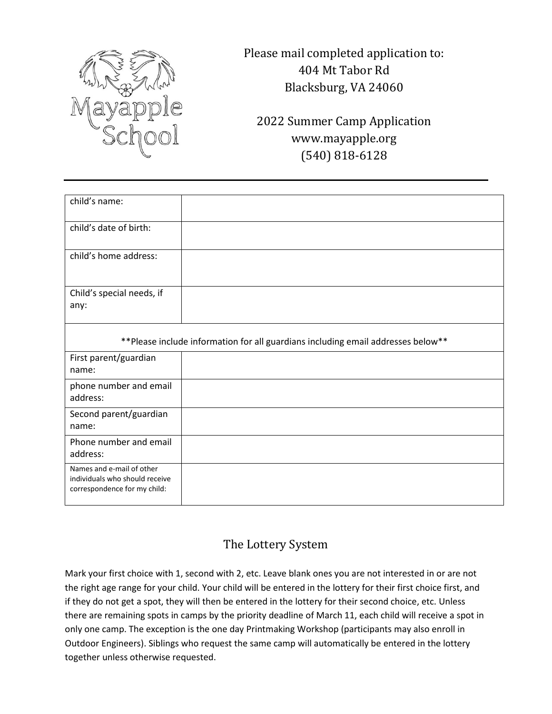

Please mail completed application to: 404 Mt Tabor Rd Blacksburg, VA 24060

2022 Summer Camp Application www.mayapple.org (540) 818-6128

| child's name:                                                                               |  |  |  |  |
|---------------------------------------------------------------------------------------------|--|--|--|--|
| child's date of birth:                                                                      |  |  |  |  |
| child's home address:                                                                       |  |  |  |  |
| Child's special needs, if<br>any:                                                           |  |  |  |  |
| ** Please include information for all guardians including email addresses below**           |  |  |  |  |
| First parent/guardian<br>name:                                                              |  |  |  |  |
| phone number and email<br>address:                                                          |  |  |  |  |
| Second parent/guardian<br>name:                                                             |  |  |  |  |
| Phone number and email<br>address:                                                          |  |  |  |  |
| Names and e-mail of other<br>individuals who should receive<br>correspondence for my child: |  |  |  |  |

## The Lottery System

Mark your first choice with 1, second with 2, etc. Leave blank ones you are not interested in or are not the right age range for your child. Your child will be entered in the lottery for their first choice first, and if they do not get a spot, they will then be entered in the lottery for their second choice, etc. Unless there are remaining spots in camps by the priority deadline of March 11, each child will receive a spot in only one camp. The exception is the one day Printmaking Workshop (participants may also enroll in Outdoor Engineers). Siblings who request the same camp will automatically be entered in the lottery together unless otherwise requested.